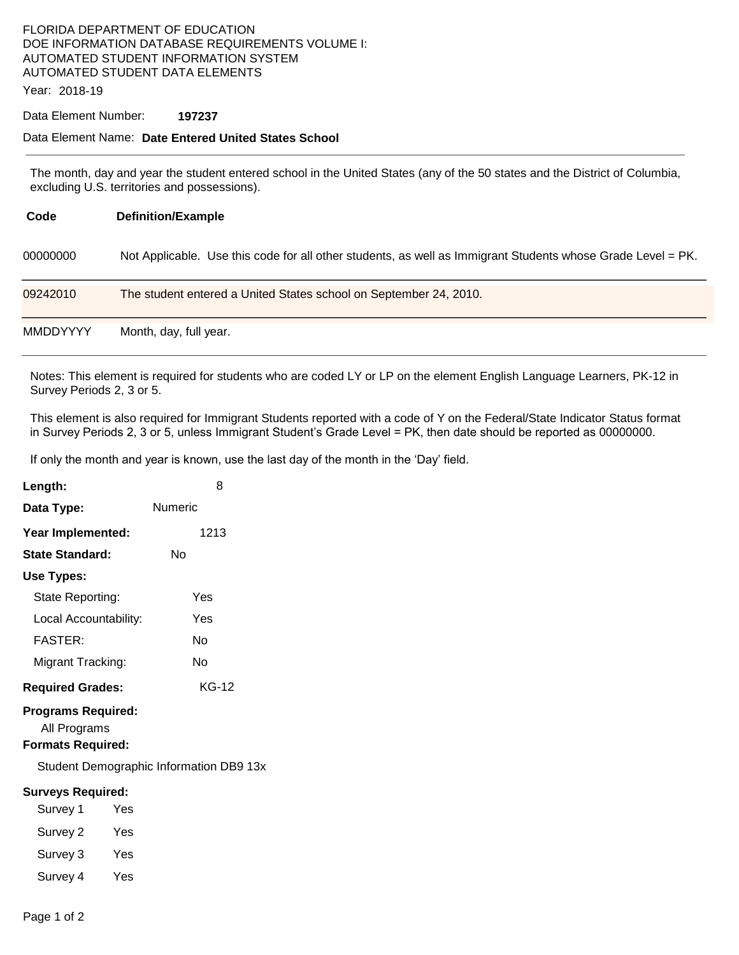## FLORIDA DEPARTMENT OF EDUCATION DOE INFORMATION DATABASE REQUIREMENTS VOLUME I: AUTOMATED STUDENT INFORMATION SYSTEM AUTOMATED STUDENT DATA ELEMENTS

Year: 2018-19

#### Data Element Number: **197237**

### Data Element Name: **Date Entered United States School**

The month, day and year the student entered school in the United States (any of the 50 states and the District of Columbia, excluding U.S. territories and possessions).

| Code            | <b>Definition/Example</b>                                                                                   |
|-----------------|-------------------------------------------------------------------------------------------------------------|
| 00000000        | Not Applicable. Use this code for all other students, as well as Immigrant Students whose Grade Level = PK. |
| 09242010        | The student entered a United States school on September 24, 2010.                                           |
| <b>MMDDYYYY</b> | Month, day, full year.                                                                                      |

Notes: This element is required for students who are coded LY or LP on the element English Language Learners, PK-12 in Survey Periods 2, 3 or 5.

This element is also required for Immigrant Students reported with a code of Y on the Federal/State Indicator Status format in Survey Periods 2, 3 or 5, unless Immigrant Student's Grade Level = PK, then date should be reported as 00000000.

If only the month and year is known, use the last day of the month in the 'Day' field.

| Length:                                                               |     | 8       |  |  |  |
|-----------------------------------------------------------------------|-----|---------|--|--|--|
| Data Type:                                                            |     | Numeric |  |  |  |
| Year Implemented:                                                     |     | 1213    |  |  |  |
| State Standard:                                                       |     | Nο      |  |  |  |
| Use Types:                                                            |     |         |  |  |  |
| State Reporting:                                                      |     | Yes     |  |  |  |
| Local Accountability:                                                 |     | Yes     |  |  |  |
| <b>FASTER:</b>                                                        |     | N٥      |  |  |  |
| Migrant Tracking:                                                     |     | No      |  |  |  |
| <b>Required Grades:</b>                                               |     | KG-12   |  |  |  |
| <b>Programs Required:</b><br>All Programs<br><b>Formats Required:</b> |     |         |  |  |  |
| Student Demographic Information DB9 13x                               |     |         |  |  |  |
| <b>Surveys Required:</b>                                              |     |         |  |  |  |
| Survey 1                                                              | Yes |         |  |  |  |
| Survey 2                                                              | Yes |         |  |  |  |
| Survey 3                                                              | Yes |         |  |  |  |

Survey 4 Yes